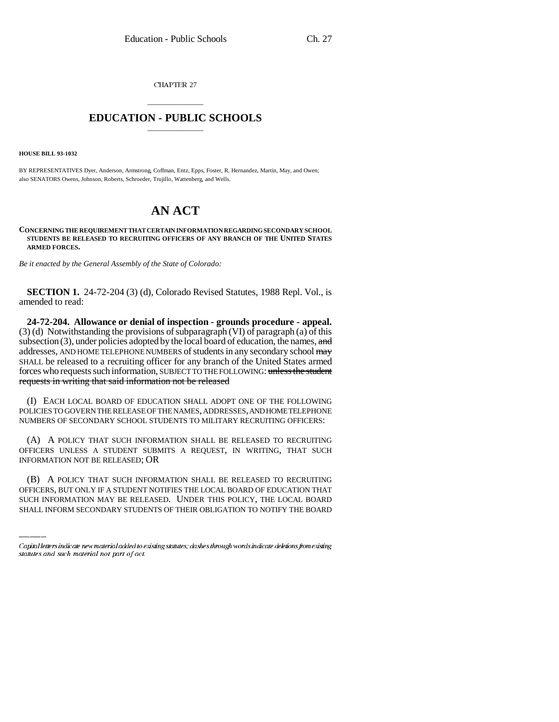CHAPTER 27

## \_\_\_\_\_\_\_\_\_\_\_\_\_\_\_ **EDUCATION - PUBLIC SCHOOLS** \_\_\_\_\_\_\_\_\_\_\_\_\_\_\_

**HOUSE BILL 93-1032**

BY REPRESENTATIVES Dyer, Anderson, Armstrong, Coffman, Entz, Epps, Foster, R. Hernandez, Martin, May, and Owen; also SENATORS Owens, Johnson, Roberts, Schroeder, Trujillo, Wattenberg, and Wells.

## **AN ACT**

**CONCERNING THE REQUIREMENT THAT CERTAIN INFORMATION REGARDING SECONDARY SCHOOL STUDENTS BE RELEASED TO RECRUITING OFFICERS OF ANY BRANCH OF THE UNITED STATES ARMED FORCES.**

*Be it enacted by the General Assembly of the State of Colorado:*

**SECTION 1.** 24-72-204 (3) (d), Colorado Revised Statutes, 1988 Repl. Vol., is amended to read:

**24-72-204. Allowance or denial of inspection - grounds procedure - appeal.** (3) (d) Notwithstanding the provisions of subparagraph (VI) of paragraph (a) of this subsection  $(3)$ , under policies adopted by the local board of education, the names, and addresses, AND HOME TELEPHONE NUMBERS of students in any secondary school may SHALL be released to a recruiting officer for any branch of the United States armed forces who requests such information, SUBJECT TO THE FOLLOWING: unless the student requests in writing that said information not be released

(I) EACH LOCAL BOARD OF EDUCATION SHALL ADOPT ONE OF THE FOLLOWING POLICIES TO GOVERN THE RELEASE OF THE NAMES, ADDRESSES, AND HOME TELEPHONE NUMBERS OF SECONDARY SCHOOL STUDENTS TO MILITARY RECRUITING OFFICERS:

(A) A POLICY THAT SUCH INFORMATION SHALL BE RELEASED TO RECRUITING OFFICERS UNLESS A STUDENT SUBMITS A REQUEST, IN WRITING, THAT SUCH INFORMATION NOT BE RELEASED; OR

(B) A POLICY THAT SUCH INFORMATION SHALL BE RELEASED TO RECRUITING OFFICERS, BUT ONLY IF A STUDENT NOTIFIES THE LOCAL BOARD OF EDUCATION THAT SUCH INFORMATION MAY BE RELEASED. UNDER THIS POLICY, THE LOCAL BOARD SHALL INFORM SECONDARY STUDENTS OF THEIR OBLIGATION TO NOTIFY THE BOARD

Capital letters indicate new material added to existing statutes; dashes through words indicate deletions from existing statutes and such material not part of act.